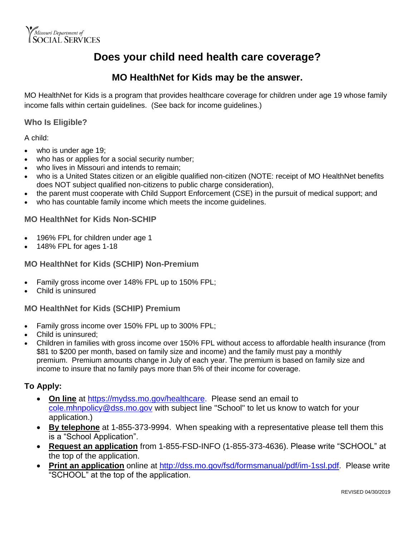

## **Does your child need health care coverage?**

### **MO HealthNet for Kids may be the answer.**

MO HealthNet for Kids is a program that provides healthcare coverage for children under age 19 whose family income falls within certain guidelines. (See back for income guidelines.)

#### **Who Is Eligible?**

A child:

- who is under age 19;
- who has or applies for a social security number;
- who lives in Missouri and intends to remain;
- who is a United States citizen or an eligible qualified non-citizen (NOTE: receipt of MO HealthNet benefits does NOT subject qualified non-citizens to public charge consideration),
- the parent must cooperate with Child Support Enforcement (CSE) in the pursuit of medical support; and
- who has countable family income which meets the income guidelines.

#### **MO HealthNet for Kids Non-SCHIP**

- 196% FPL for children under age 1
- 148% FPL for ages 1-18

#### **MO HealthNet for Kids (SCHIP) Non-Premium**

- Family gross income over 148% FPL up to 150% FPL;
- Child is uninsured

#### **MO HealthNet for Kids (SCHIP) Premium**

- Family gross income over 150% FPL up to 300% FPL;
- Child is uninsured;
- Children in families with gross income over 150% FPL without access to affordable health insurance (from \$81 to \$200 per month, based on family size and income) and the family must pay a monthly premium. Premium amounts change in July of each year. The premium is based on family size and income to insure that no family pays more than 5% of their income for coverage.

#### **To Apply:**

- **On line** at [https://mydss.mo.gov/healthcare.](https://mydss.mo.gov/healthcare) Please send an email to [cole.mhnpolicy@dss.mo.gov](mailto:cole.mhnpolicy@dss.mo.gov) with subject line "School" to let us know to watch for your application.)
- **By telephone** at 1-855-373-9994. When speaking with a representative please tell them this is a "School Application".
- **Request an application** from 1-855-FSD-INFO (1-855-373-4636). Please write "SCHOOL" at the top of the application.
- **Print an application** online at [http://dss.mo.gov/fsd/formsmanual/pdf/im-1ssl.pdf.](http://dss.mo.gov/fsd/formsmanual/pdf/im-1ssl.pdf) Please write "SCHOOL" at the top of the application.